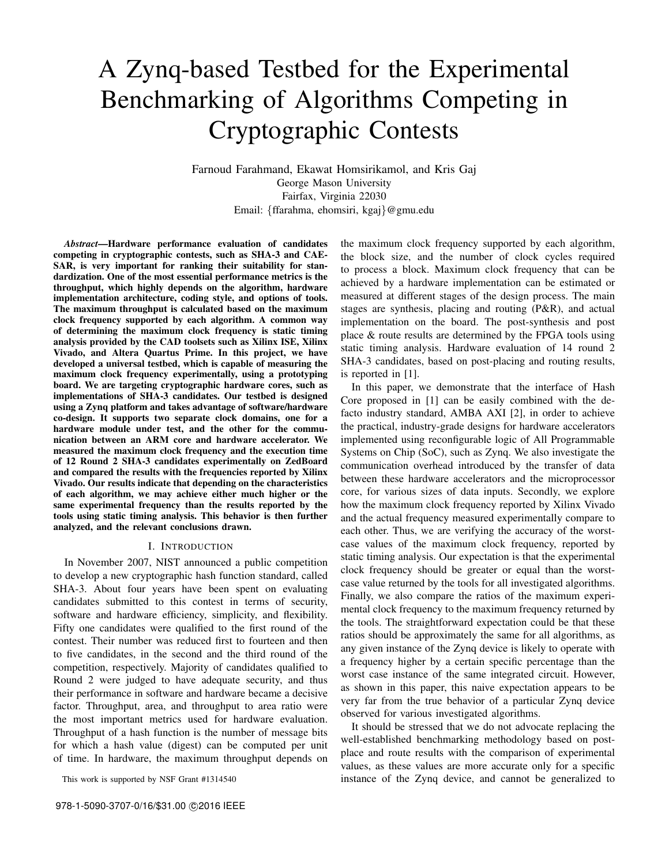# A Zynq-based Testbed for the Experimental Benchmarking of Algorithms Competing in Cryptographic Contests

Farnoud Farahmand, Ekawat Homsirikamol, and Kris Gaj George Mason University Fairfax, Virginia 22030 Email: {ffarahma, ehomsiri, kgaj}@gmu.edu

*Abstract*—Hardware performance evaluation of candidates competing in cryptographic contests, such as SHA-3 and CAE-SAR, is very important for ranking their suitability for standardization. One of the most essential performance metrics is the throughput, which highly depends on the algorithm, hardware implementation architecture, coding style, and options of tools. The maximum throughput is calculated based on the maximum clock frequency supported by each algorithm. A common way of determining the maximum clock frequency is static timing analysis provided by the CAD toolsets such as Xilinx ISE, Xilinx Vivado, and Altera Quartus Prime. In this project, we have developed a universal testbed, which is capable of measuring the maximum clock frequency experimentally, using a prototyping board. We are targeting cryptographic hardware cores, such as implementations of SHA-3 candidates. Our testbed is designed using a Zynq platform and takes advantage of software/hardware co-design. It supports two separate clock domains, one for a hardware module under test, and the other for the communication between an ARM core and hardware accelerator. We measured the maximum clock frequency and the execution time of 12 Round 2 SHA-3 candidates experimentally on ZedBoard and compared the results with the frequencies reported by Xilinx Vivado. Our results indicate that depending on the characteristics of each algorithm, we may achieve either much higher or the same experimental frequency than the results reported by the tools using static timing analysis. This behavior is then further analyzed, and the relevant conclusions drawn.

#### I. INTRODUCTION

In November 2007, NIST announced a public competition to develop a new cryptographic hash function standard, called SHA-3. About four years have been spent on evaluating candidates submitted to this contest in terms of security, software and hardware efficiency, simplicity, and flexibility. Fifty one candidates were qualified to the first round of the contest. Their number was reduced first to fourteen and then to five candidates, in the second and the third round of the competition, respectively. Majority of candidates qualified to Round 2 were judged to have adequate security, and thus their performance in software and hardware became a decisive factor. Throughput, area, and throughput to area ratio were the most important metrics used for hardware evaluation. Throughput of a hash function is the number of message bits for which a hash value (digest) can be computed per unit of time. In hardware, the maximum throughput depends on

This work is supported by NSF Grant #1314540

the maximum clock frequency supported by each algorithm, the block size, and the number of clock cycles required to process a block. Maximum clock frequency that can be achieved by a hardware implementation can be estimated or measured at different stages of the design process. The main stages are synthesis, placing and routing (P&R), and actual implementation on the board. The post-synthesis and post place & route results are determined by the FPGA tools using static timing analysis. Hardware evaluation of 14 round 2 SHA-3 candidates, based on post-placing and routing results, is reported in [1].

In this paper, we demonstrate that the interface of Hash Core proposed in [1] can be easily combined with the defacto industry standard, AMBA AXI [2], in order to achieve the practical, industry-grade designs for hardware accelerators implemented using reconfigurable logic of All Programmable Systems on Chip (SoC), such as Zynq. We also investigate the communication overhead introduced by the transfer of data between these hardware accelerators and the microprocessor core, for various sizes of data inputs. Secondly, we explore how the maximum clock frequency reported by Xilinx Vivado and the actual frequency measured experimentally compare to each other. Thus, we are verifying the accuracy of the worstcase values of the maximum clock frequency, reported by static timing analysis. Our expectation is that the experimental clock frequency should be greater or equal than the worstcase value returned by the tools for all investigated algorithms. Finally, we also compare the ratios of the maximum experimental clock frequency to the maximum frequency returned by the tools. The straightforward expectation could be that these ratios should be approximately the same for all algorithms, as any given instance of the Zynq device is likely to operate with a frequency higher by a certain specific percentage than the worst case instance of the same integrated circuit. However, as shown in this paper, this naive expectation appears to be very far from the true behavior of a particular Zynq device observed for various investigated algorithms.

It should be stressed that we do not advocate replacing the well-established benchmarking methodology based on postplace and route results with the comparison of experimental values, as these values are more accurate only for a specific instance of the Zynq device, and cannot be generalized to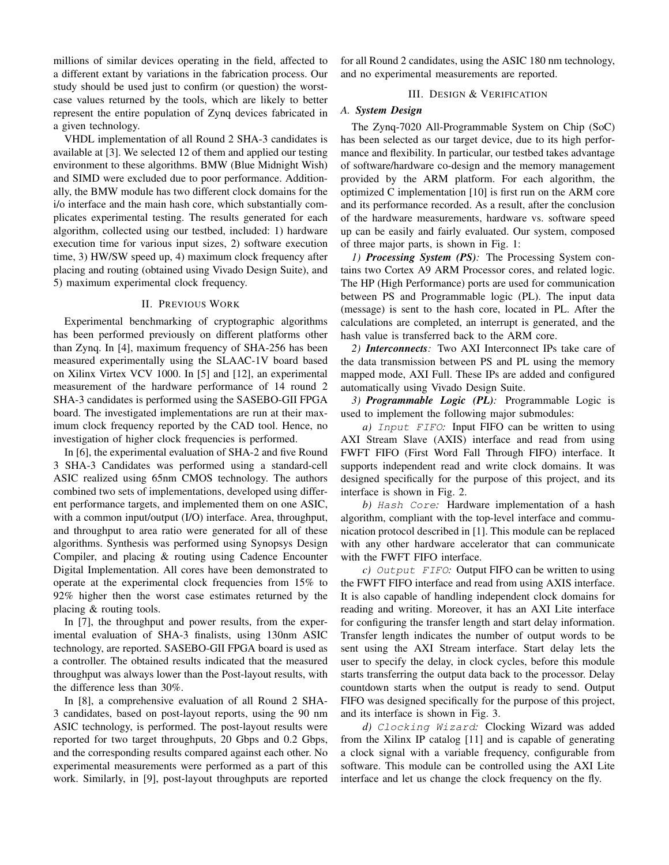millions of similar devices operating in the field, affected to a different extant by variations in the fabrication process. Our study should be used just to confirm (or question) the worstcase values returned by the tools, which are likely to better represent the entire population of Zynq devices fabricated in a given technology.

VHDL implementation of all Round 2 SHA-3 candidates is available at [3]. We selected 12 of them and applied our testing environment to these algorithms. BMW (Blue Midnight Wish) and SIMD were excluded due to poor performance. Additionally, the BMW module has two different clock domains for the i/o interface and the main hash core, which substantially complicates experimental testing. The results generated for each algorithm, collected using our testbed, included: 1) hardware execution time for various input sizes, 2) software execution time, 3) HW/SW speed up, 4) maximum clock frequency after placing and routing (obtained using Vivado Design Suite), and 5) maximum experimental clock frequency.

# II. PREVIOUS WORK

Experimental benchmarking of cryptographic algorithms has been performed previously on different platforms other than Zynq. In [4], maximum frequency of SHA-256 has been measured experimentally using the SLAAC-1V board based on Xilinx Virtex VCV 1000. In [5] and [12], an experimental measurement of the hardware performance of 14 round 2 SHA-3 candidates is performed using the SASEBO-GII FPGA board. The investigated implementations are run at their maximum clock frequency reported by the CAD tool. Hence, no investigation of higher clock frequencies is performed.

In [6], the experimental evaluation of SHA-2 and five Round 3 SHA-3 Candidates was performed using a standard-cell ASIC realized using 65nm CMOS technology. The authors combined two sets of implementations, developed using different performance targets, and implemented them on one ASIC, with a common input/output (I/O) interface. Area, throughput, and throughput to area ratio were generated for all of these algorithms. Synthesis was performed using Synopsys Design Compiler, and placing & routing using Cadence Encounter Digital Implementation. All cores have been demonstrated to operate at the experimental clock frequencies from 15% to 92% higher then the worst case estimates returned by the placing & routing tools.

In [7], the throughput and power results, from the experimental evaluation of SHA-3 finalists, using 130nm ASIC technology, are reported. SASEBO-GII FPGA board is used as a controller. The obtained results indicated that the measured throughput was always lower than the Post-layout results, with the difference less than 30%.

In [8], a comprehensive evaluation of all Round 2 SHA-3 candidates, based on post-layout reports, using the 90 nm ASIC technology, is performed. The post-layout results were reported for two target throughputs, 20 Gbps and 0.2 Gbps, and the corresponding results compared against each other. No experimental measurements were performed as a part of this work. Similarly, in [9], post-layout throughputs are reported for all Round 2 candidates, using the ASIC 180 nm technology, and no experimental measurements are reported.

## III. DESIGN & VERIFICATION

# *A. System Design*

The Zynq-7020 All-Programmable System on Chip (SoC) has been selected as our target device, due to its high performance and flexibility. In particular, our testbed takes advantage of software/hardware co-design and the memory management provided by the ARM platform. For each algorithm, the optimized C implementation [10] is first run on the ARM core and its performance recorded. As a result, after the conclusion of the hardware measurements, hardware vs. software speed up can be easily and fairly evaluated. Our system, composed of three major parts, is shown in Fig. 1:

*1) Processing System (PS):* The Processing System contains two Cortex A9 ARM Processor cores, and related logic. The HP (High Performance) ports are used for communication between PS and Programmable logic (PL). The input data (message) is sent to the hash core, located in PL. After the calculations are completed, an interrupt is generated, and the hash value is transferred back to the ARM core.

*2) Interconnects:* Two AXI Interconnect IPs take care of the data transmission between PS and PL using the memory mapped mode, AXI Full. These IPs are added and configured automatically using Vivado Design Suite.

*3) Programmable Logic (PL):* Programmable Logic is used to implement the following major submodules:

*a)* Input FIFO*:* Input FIFO can be written to using AXI Stream Slave (AXIS) interface and read from using FWFT FIFO (First Word Fall Through FIFO) interface. It supports independent read and write clock domains. It was designed specifically for the purpose of this project, and its interface is shown in Fig. 2.

*b)* Hash Core*:* Hardware implementation of a hash algorithm, compliant with the top-level interface and communication protocol described in [1]. This module can be replaced with any other hardware accelerator that can communicate with the FWFT FIFO interface.

*c)* Output FIFO*:* Output FIFO can be written to using the FWFT FIFO interface and read from using AXIS interface. It is also capable of handling independent clock domains for reading and writing. Moreover, it has an AXI Lite interface for configuring the transfer length and start delay information. Transfer length indicates the number of output words to be sent using the AXI Stream interface. Start delay lets the user to specify the delay, in clock cycles, before this module starts transferring the output data back to the processor. Delay countdown starts when the output is ready to send. Output FIFO was designed specifically for the purpose of this project, and its interface is shown in Fig. 3.

*d)* Clocking Wizard*:* Clocking Wizard was added from the Xilinx IP catalog [11] and is capable of generating a clock signal with a variable frequency, configurable from software. This module can be controlled using the AXI Lite interface and let us change the clock frequency on the fly.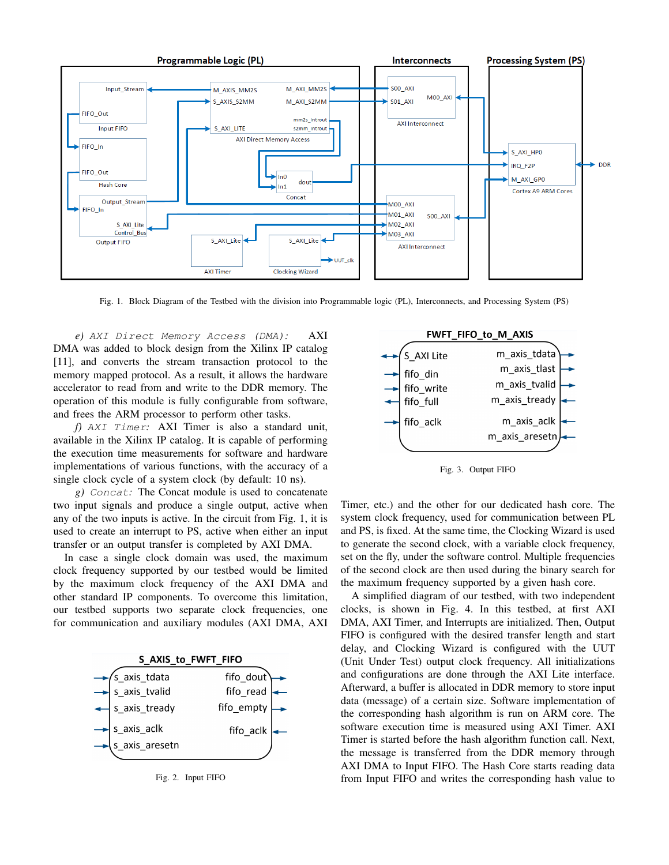

Fig. 1. Block Diagram of the Testbed with the division into Programmable logic (PL), Interconnects, and Processing System (PS)

*e)* AXI Direct Memory Access (DMA)*:* AXI DMA was added to block design from the Xilinx IP catalog [11], and converts the stream transaction protocol to the memory mapped protocol. As a result, it allows the hardware accelerator to read from and write to the DDR memory. The operation of this module is fully configurable from software, and frees the ARM processor to perform other tasks.

*f)* AXI Timer*:* AXI Timer is also a standard unit, available in the Xilinx IP catalog. It is capable of performing the execution time measurements for software and hardware implementations of various functions, with the accuracy of a single clock cycle of a system clock (by default: 10 ns).

*g)* Concat*:* The Concat module is used to concatenate two input signals and produce a single output, active when any of the two inputs is active. In the circuit from Fig. 1, it is used to create an interrupt to PS, active when either an input transfer or an output transfer is completed by AXI DMA.

In case a single clock domain was used, the maximum clock frequency supported by our testbed would be limited by the maximum clock frequency of the AXI DMA and other standard IP components. To overcome this limitation, our testbed supports two separate clock frequencies, one for communication and auxiliary modules (AXI DMA, AXI







Fig. 3. Output FIFO

Timer, etc.) and the other for our dedicated hash core. The system clock frequency, used for communication between PL and PS, is fixed. At the same time, the Clocking Wizard is used to generate the second clock, with a variable clock frequency, set on the fly, under the software control. Multiple frequencies of the second clock are then used during the binary search for the maximum frequency supported by a given hash core.

A simplified diagram of our testbed, with two independent clocks, is shown in Fig. 4. In this testbed, at first AXI DMA, AXI Timer, and Interrupts are initialized. Then, Output FIFO is configured with the desired transfer length and start delay, and Clocking Wizard is configured with the UUT (Unit Under Test) output clock frequency. All initializations and configurations are done through the AXI Lite interface. Afterward, a buffer is allocated in DDR memory to store input data (message) of a certain size. Software implementation of the corresponding hash algorithm is run on ARM core. The software execution time is measured using AXI Timer. AXI Timer is started before the hash algorithm function call. Next, the message is transferred from the DDR memory through AXI DMA to Input FIFO. The Hash Core starts reading data from Input FIFO and writes the corresponding hash value to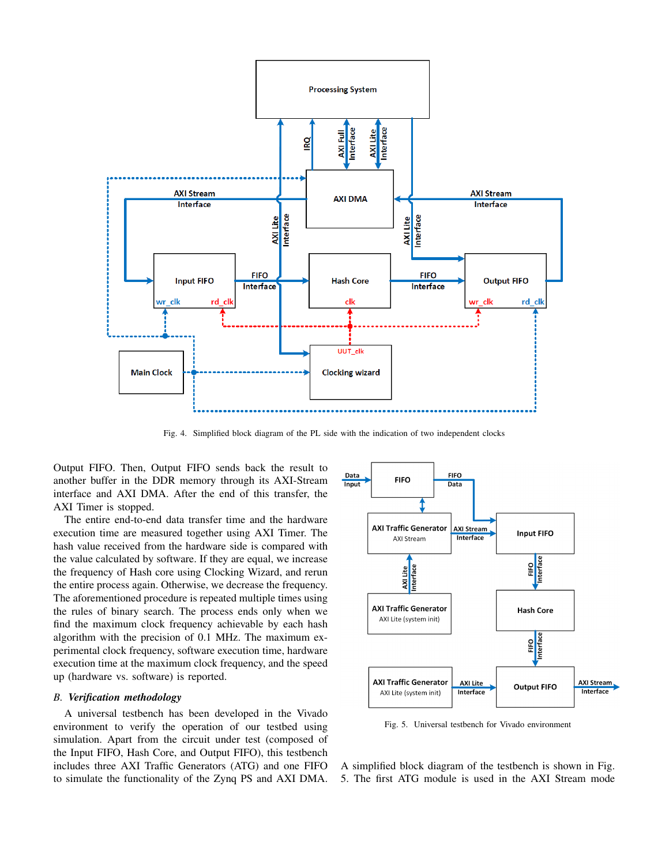

Fig. 4. Simplified block diagram of the PL side with the indication of two independent clocks

Output FIFO. Then, Output FIFO sends back the result to another buffer in the DDR memory through its AXI-Stream interface and AXI DMA. After the end of this transfer, the AXI Timer is stopped.

The entire end-to-end data transfer time and the hardware execution time are measured together using AXI Timer. The hash value received from the hardware side is compared with the value calculated by software. If they are equal, we increase the frequency of Hash core using Clocking Wizard, and rerun the entire process again. Otherwise, we decrease the frequency. The aforementioned procedure is repeated multiple times using the rules of binary search. The process ends only when we find the maximum clock frequency achievable by each hash algorithm with the precision of 0.1 MHz. The maximum experimental clock frequency, software execution time, hardware execution time at the maximum clock frequency, and the speed up (hardware vs. software) is reported.

# *B. Verification methodology*

A universal testbench has been developed in the Vivado environment to verify the operation of our testbed using simulation. Apart from the circuit under test (composed of the Input FIFO, Hash Core, and Output FIFO), this testbench includes three AXI Traffic Generators (ATG) and one FIFO to simulate the functionality of the Zynq PS and AXI DMA.



Fig. 5. Universal testbench for Vivado environment

A simplified block diagram of the testbench is shown in Fig. 5. The first ATG module is used in the AXI Stream mode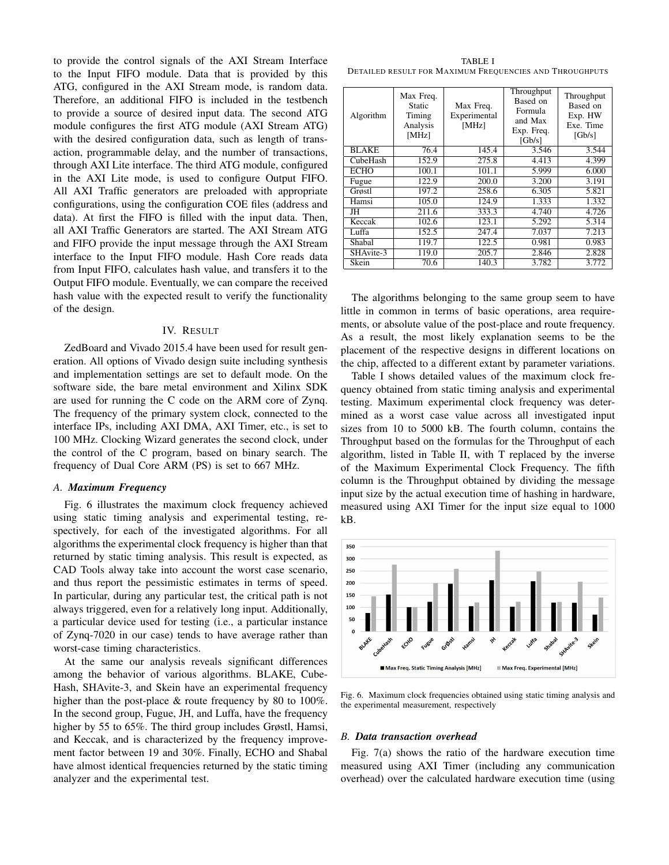to provide the control signals of the AXI Stream Interface to the Input FIFO module. Data that is provided by this ATG, configured in the AXI Stream mode, is random data. Therefore, an additional FIFO is included in the testbench to provide a source of desired input data. The second ATG module configures the first ATG module (AXI Stream ATG) with the desired configuration data, such as length of transaction, programmable delay, and the number of transactions, through AXI Lite interface. The third ATG module, configured in the AXI Lite mode, is used to configure Output FIFO. All AXI Traffic generators are preloaded with appropriate configurations, using the configuration COE files (address and data). At first the FIFO is filled with the input data. Then, all AXI Traffic Generators are started. The AXI Stream ATG and FIFO provide the input message through the AXI Stream interface to the Input FIFO module. Hash Core reads data from Input FIFO, calculates hash value, and transfers it to the Output FIFO module. Eventually, we can compare the received hash value with the expected result to verify the functionality of the design.

## IV. RESULT

ZedBoard and Vivado 2015.4 have been used for result generation. All options of Vivado design suite including synthesis and implementation settings are set to default mode. On the software side, the bare metal environment and Xilinx SDK are used for running the C code on the ARM core of Zynq. The frequency of the primary system clock, connected to the interface IPs, including AXI DMA, AXI Timer, etc., is set to 100 MHz. Clocking Wizard generates the second clock, under the control of the C program, based on binary search. The frequency of Dual Core ARM (PS) is set to 667 MHz.

# *A. Maximum Frequency*

Fig. 6 illustrates the maximum clock frequency achieved using static timing analysis and experimental testing, respectively, for each of the investigated algorithms. For all algorithms the experimental clock frequency is higher than that returned by static timing analysis. This result is expected, as CAD Tools alway take into account the worst case scenario, and thus report the pessimistic estimates in terms of speed. In particular, during any particular test, the critical path is not always triggered, even for a relatively long input. Additionally, a particular device used for testing (i.e., a particular instance of Zynq-7020 in our case) tends to have average rather than worst-case timing characteristics.

At the same our analysis reveals significant differences among the behavior of various algorithms. BLAKE, Cube-Hash, SHAvite-3, and Skein have an experimental frequency higher than the post-place & route frequency by 80 to 100%. In the second group, Fugue, JH, and Luffa, have the frequency higher by 55 to 65%. The third group includes Grøstl, Hamsi, and Keccak, and is characterized by the frequency improvement factor between 19 and 30%. Finally, ECHO and Shabal have almost identical frequencies returned by the static timing analyzer and the experimental test.

TABLE I DETAILED RESULT FOR MAXIMUM FREQUENCIES AND THROUGHPUTS

| Algorithm    | Max Freq.<br>Static<br>Timing<br>Analysis<br>[MHz] | Max Freq.<br>Experimental<br>[MHz] | Throughput<br>Based on<br>Formula<br>and Max<br>Exp. Freq.<br>[Gb/s] | Throughput<br>Based on<br>Exp. HW<br>Exe. Time<br>[Gb/s] |
|--------------|----------------------------------------------------|------------------------------------|----------------------------------------------------------------------|----------------------------------------------------------|
| <b>BLAKE</b> | 76.4                                               | 145.4                              | 3.546                                                                | 3.544                                                    |
| CubeHash     | 152.9                                              | 275.8                              | 4.413                                                                | 4.399                                                    |
| <b>ECHO</b>  | 100.1                                              | 101.1                              | 5.999                                                                | 6.000                                                    |
| Fugue        | 122.9                                              | 200.0                              | 3.200                                                                | 3.191                                                    |
| Grøstl       | 197.2                                              | 258.6                              | 6.305                                                                | 5.821                                                    |
| Hamsi        | 105.0                                              | 124.9                              | 1.333                                                                | 1.332                                                    |
| JH           | 211.6                                              | 333.3                              | 4.740                                                                | 4.726                                                    |
| Keccak       | 102.6                                              | 123.1                              | 5.292                                                                | 5.314                                                    |
| Luffa        | 152.5                                              | 247.4                              | 7.037                                                                | 7.213                                                    |
| Shabal       | 119.7                                              | 122.5                              | 0.981                                                                | 0.983                                                    |
| SHAvite-3    | 119.0                                              | 205.7                              | 2.846                                                                | 2.828                                                    |
| Skein        | 70.6                                               | 140.3                              | 3.782                                                                | 3.772                                                    |

The algorithms belonging to the same group seem to have little in common in terms of basic operations, area requirements, or absolute value of the post-place and route frequency. As a result, the most likely explanation seems to be the placement of the respective designs in different locations on the chip, affected to a different extant by parameter variations.

Table I shows detailed values of the maximum clock frequency obtained from static timing analysis and experimental testing. Maximum experimental clock frequency was determined as a worst case value across all investigated input sizes from 10 to 5000 kB. The fourth column, contains the Throughput based on the formulas for the Throughput of each algorithm, listed in Table II, with T replaced by the inverse of the Maximum Experimental Clock Frequency. The fifth column is the Throughput obtained by dividing the message input size by the actual execution time of hashing in hardware, measured using AXI Timer for the input size equal to 1000 kB.



Fig. 6. Maximum clock frequencies obtained using static timing analysis and the experimental measurement, respectively

#### *B. Data transaction overhead*

Fig. 7(a) shows the ratio of the hardware execution time measured using AXI Timer (including any communication overhead) over the calculated hardware execution time (using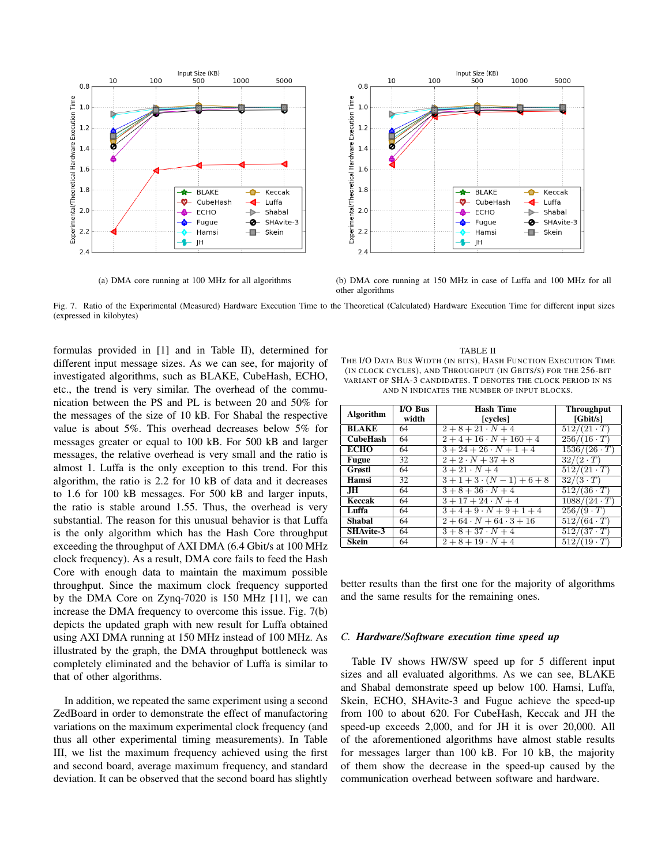



(a) DMA core running at 100 MHz for all algorithms (b) DMA core running at 150 MHz in case of Luffa and 100 MHz for all other algorithms

Fig. 7. Ratio of the Experimental (Measured) Hardware Execution Time to the Theoretical (Calculated) Hardware Execution Time for different input sizes (expressed in kilobytes)

formulas provided in [1] and in Table II), determined for different input message sizes. As we can see, for majority of investigated algorithms, such as BLAKE, CubeHash, ECHO, etc., the trend is very similar. The overhead of the communication between the PS and PL is between 20 and 50% for the messages of the size of 10 kB. For Shabal the respective value is about 5%. This overhead decreases below 5% for messages greater or equal to 100 kB. For 500 kB and larger messages, the relative overhead is very small and the ratio is almost 1. Luffa is the only exception to this trend. For this algorithm, the ratio is 2.2 for 10 kB of data and it decreases to 1.6 for 100 kB messages. For 500 kB and larger inputs, the ratio is stable around 1.55. Thus, the overhead is very substantial. The reason for this unusual behavior is that Luffa is the only algorithm which has the Hash Core throughput exceeding the throughput of AXI DMA (6.4 Gbit/s at 100 MHz clock frequency). As a result, DMA core fails to feed the Hash Core with enough data to maintain the maximum possible throughput. Since the maximum clock frequency supported by the DMA Core on Zynq-7020 is 150 MHz [11], we can increase the DMA frequency to overcome this issue. Fig. 7(b) depicts the updated graph with new result for Luffa obtained using AXI DMA running at 150 MHz instead of 100 MHz. As illustrated by the graph, the DMA throughput bottleneck was completely eliminated and the behavior of Luffa is similar to that of other algorithms.

In addition, we repeated the same experiment using a second ZedBoard in order to demonstrate the effect of manufactoring variations on the maximum experimental clock frequency (and thus all other experimental timing measurements). In Table III, we list the maximum frequency achieved using the first and second board, average maximum frequency, and standard deviation. It can be observed that the second board has slightly

TABLE II THE I/O DATA BUS WIDTH (IN BITS), HASH FUNCTION EXECUTION TIME (IN CLOCK CYCLES), AND THROUGHPUT (IN GBITS/S) FOR THE 256-BIT VARIANT OF SHA-3 CANDIDATES. T DENOTES THE CLOCK PERIOD IN NS AND N INDICATES THE NUMBER OF INPUT BLOCKS.

| <b>Algorithm</b> | I/O Bus | Hash Time                  | <b>Throughput</b>           |
|------------------|---------|----------------------------|-----------------------------|
|                  | width   | [cycles]                   | [Gbit/s]                    |
| <b>BLAKE</b>     | 64      | $2+8+21\cdot N+4$          | $\sqrt{512}/(21 \cdot T)$   |
| <b>CubeHash</b>  | 64      | $2+4+16\cdot N+160+4$      | $256/(16 \cdot T)$          |
| <b>ECHO</b>      | 64      | $3+24+26\cdot N+1+4$       | $\frac{1536}{(26 \cdot T)}$ |
| <b>Fugue</b>     | 32      | $2+2\cdot N+37+8$          | $32/(2 \cdot T)$            |
| Grøstl           | 64      | $\overline{3+21\cdot N+4}$ | $512/(21 \cdot T)$          |
| Hamsi            | 32      | $3+1+3\cdot (N-1)+6+8$     | $32/(3 \cdot T)$            |
| $\overline{J}$ H | 64      | $3+8+36\cdot N+4$          | $512/(36 \cdot T)$          |
| Keccak           | 64      | $3+17+24\cdot N+4$         | $1088/(24 \cdot T)$         |
| Luffa            | 64      | $3+4+9\cdot N+9+1+4$       | $256/(9 \cdot T)$           |
| Shabal           | 64      | $2+64\cdot N+64\cdot 3+16$ | $512/(64 \cdot T)$          |
| <b>SHAvite-3</b> | 64      | $3 + 8 + 37 \cdot N + 4$   | $512/(37 \cdot T)$          |
| Skein            | 64      | $2+8+19\cdot N+4$          | $\sqrt{512}/(19 \cdot T)$   |

better results than the first one for the majority of algorithms and the same results for the remaining ones.

# *C. Hardware/Software execution time speed up*

Table IV shows HW/SW speed up for 5 different input sizes and all evaluated algorithms. As we can see, BLAKE and Shabal demonstrate speed up below 100. Hamsi, Luffa, Skein, ECHO, SHAvite-3 and Fugue achieve the speed-up from 100 to about 620. For CubeHash, Keccak and JH the speed-up exceeds 2,000, and for JH it is over 20,000. All of the aforementioned algorithms have almost stable results for messages larger than 100 kB. For 10 kB, the majority of them show the decrease in the speed-up caused by the communication overhead between software and hardware.